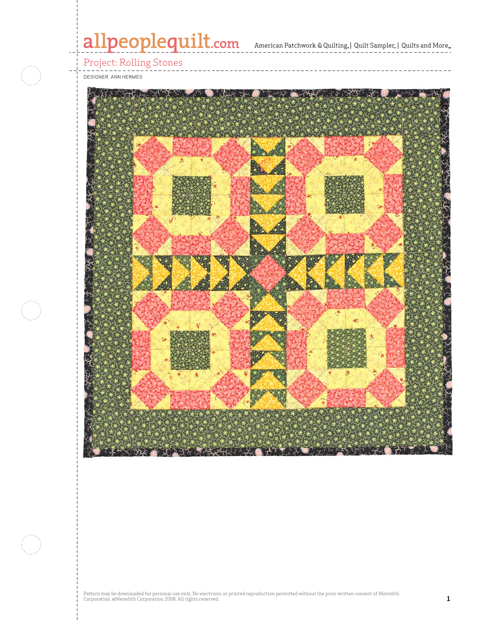# allpeoplequilt.com<br>american Patchwork & Quilting, | Quilt Sampler, | Quilts and More..



### Project: Rolling Stones

DESIGNER: ann hermes

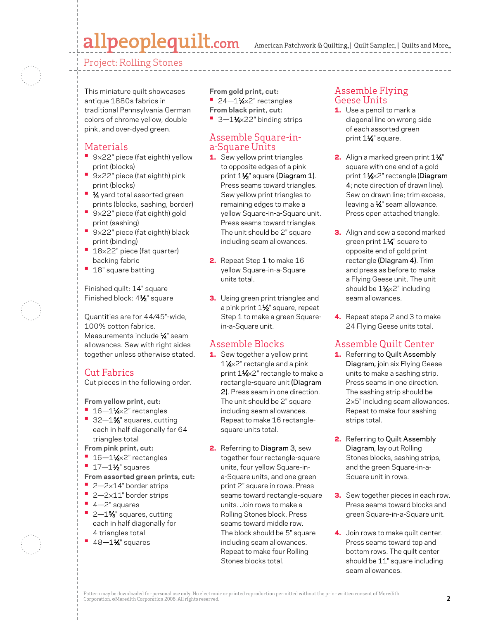## allpeoplequilt.com

American Patchwork & Quilting, | Quilt Sampler, | Quilts and More...

Project: Rolling Stones

This miniature quilt showcases antique 1880s fabrics in traditional Pennsylvania German colors of chrome yellow, double pink, and over-dyed green.

#### Materials

- **•**  <sup>9</sup>×22" piece (fat eighth) yellow print (blocks)
- **•**  <sup>9</sup>×22" piece (fat eighth) pink print (blocks)
- **1⁄4** yard total assorted green prints (blocks, sashing, border)
- **•**  <sup>9</sup>×22" piece (fat eighth) gold print (sashing)
- **•**  <sup>9</sup>×22" piece (fat eighth) black print (binding)
- <sup>•</sup> 18×22" piece (fat quarter) backing fabric
- **•**  18" square batting

Finished quilt: 14" square Finished block: 41/2" square

Quantities are for 44⁄45"-wide, 100% cotton fabrics. Measurements include 1/4" seam allowances. Sew with right sides together unless otherwise stated.

#### Cut Fabrics

Cut pieces in the following order.

**From yellow print, cut:**

- **•** 16-11⁄4×2" rectangles
- **•** 32-1% squares, cutting each in half diagonally for 64 triangles total
- **From pink print, cut:**
- <sup>•</sup> 16-1<sup>1</sup>/<sub>4×2</sub>" rectangles
- **•** 17-11⁄2" squares
- **From assorted green prints, cut:**
- **•**  2—2×14" border strips
- **•**  2—2×11" border strips
- **•**  4—2" squares
- <sup>•</sup> 2-1% squares, cutting each in half diagonally for 4 triangles total
- **•** 48-11⁄4" squares

**From gold print, cut:** <sup>•</sup> 24-1<sup>1</sup>/<sub>4×2</sub>" rectangles **From black print, cut:** 

■ 3-11⁄<sub>4×22</sub>" binding strips

#### Assemble Square-ina-Square Units

- 1. Sew yellow print triangles to opposite edges of a pink print 11/2" square (Diagram 1). Press seams toward triangles. Sew yellow print triangles to remaining edges to make a yellow Square-in-a-Square unit. Press seams toward triangles. The unit should be 2" square including seam allowances.
- 2. Repeat Step 1 to make 16 yellow Square-in-a-Square units total.
- **3.** Using green print triangles and a pink print 1<sup>1/2</sup> square, repeat Step 1 to make a green Squarein-a-Square unit.

#### Assemble Blocks

- **1.** Sew together a yellow print 1<sup>1</sup>/<sub>4</sub>×2" rectangle and a pink print 11⁄4×2" rectangle to make a rectangle-square unit (Diagram 2). Press seam in one direction. The unit should be 2" square including seam allowances. Repeat to make 16 rectanglesquare units total.
- 2. Referring to Diagram 3, sew together four rectangle-square units, four yellow Square-ina-Square units, and one green print 2" square in rows. Press seams toward rectangle-square units. Join rows to make a Rolling Stones block. Press seams toward middle row. The block should be 5" square including seam allowances. Repeat to make four Rolling Stones blocks total.

#### Assemble Flying Geese Units

- **1.** Use a pencil to mark a diagonal line on wrong side of each assorted green print 1<sup>1/4"</sup> square.
- 2. Align a marked green print  $1\frac{1}{4}$ " square with one end of a gold print 11⁄4×2" rectangle (Diagram 4; note direction of drawn line). Sew on drawn line; trim excess, leaving a  $\frac{1}{4}$ " seam allowance. Press open attached triangle.
- **3.** Align and sew a second marked green print 11⁄4" square to opposite end of gold print rectangle (Diagram 4). Trim and press as before to make a Flying Geese unit. The unit should be  $1\frac{1}{2} \times 2$ " including seam allowances.
- 4. Repeat steps 2 and 3 to make 24 Flying Geese units total.

#### Assemble Quilt Center

- 1. Referring to Quilt Assembly Diagram, join six Flying Geese units to make a sashing strip. Press seams in one direction. The sashing strip should be 2×5" including seam allowances. Repeat to make four sashing strips total.
- 2. Referring to Quilt Assembly Diagram, lay out Rolling Stones blocks, sashing strips, and the green Square-in-a-Square unit in rows.
- **3.** Sew together pieces in each row. Press seams toward blocks and green Square-in-a-Square unit.
- 4. Join rows to make quilt center. Press seams toward top and bottom rows. The quilt center should be 11" square including seam allowances.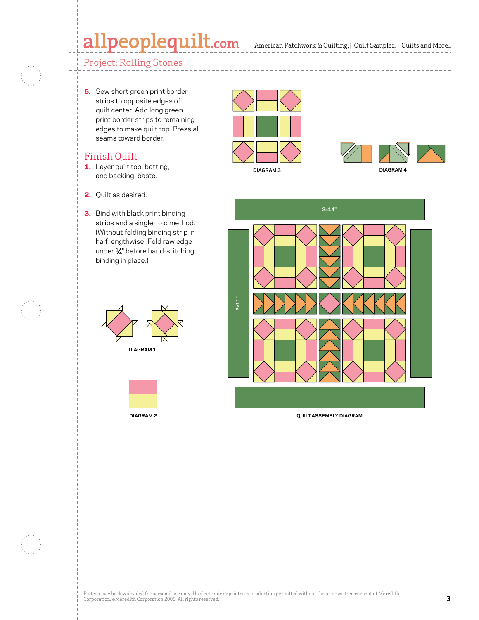## allpeoplequilt.com

--------------------

#### Project: Rolling Stones

5. Sew short green print border strips to opposite edges of quilt center. Add long green print border strips to remaining edges to make quilt top. Press all seams toward border.

#### Finish Quilt

- 1. Layer quilt top, batting, and backing; baste.
- 2. Quilt as desired.
- **3.** Bind with black print binding strips and a single-fold method. (Without folding binding strip in half lengthwise. Fold raw edge under 1/4" before hand-stitching binding in place.)









**DIAGRAM 3**





**QUILT ASSEMBLY DIAGRAM**